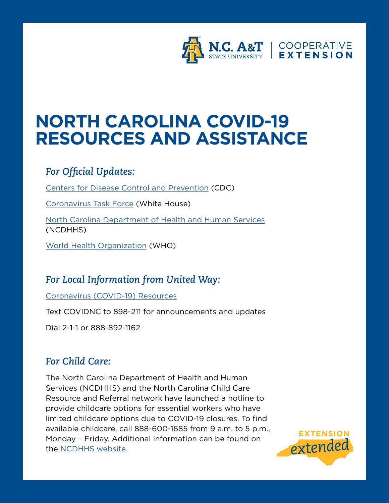

# **NORTH CAROLINA COVID-19 RESOURCES AND ASSISTANCE**

# *For Official Updates:*

[Centers for Disease Control and Prevention](https://www.cdc.gov/coronavirus/2019-ncov/index.html) (CDC)

[Coronavirus Task Force](https://www.coronavirus.gov) (White House)

[North Carolina Department of Health and Human Services](https://www.ncdhhs.gov/divisions/public-health/covid19) (NCDHHS)

[World Health Organization](https://www.who.int/emergencies/diseases/novel-coronavirus-2019) (WHO)

# *For Local Information from United Way:*

[Coronavirus \(COVID-19\) Resources](https://www.nc211.org/coronavirus-covid-19)

Text COVIDNC to 898-211 for announcements and updates

Dial 2-1-1 or 888-892-1162

# *For Child Care:*

The North Carolina Department of Health and Human Services (NCDHHS) and the North Carolina Child Care Resource and Referral network have launched a hotline to provide childcare options for essential workers who have limited childcare options due to COVID-19 closures. To find available childcare, call 888-600-1685 from 9 a.m. to 5 p.m., Monday – Friday. Additional information can be found on the [NCDHHS website](https://www.ncdhhs.gov/divisions/public-health/covid19/child-care).

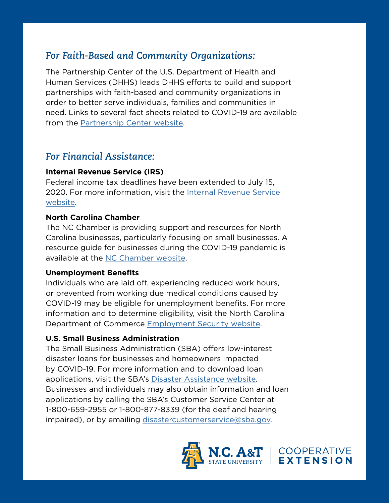# *For Faith-Based and Community Organizations:*

The Partnership Center of the U.S. Department of Health and Human Services (DHHS) leads DHHS efforts to build and support partnerships with faith-based and community organizations in order to better serve individuals, families and communities in need. Links to several fact sheets related to COVID-19 are available from the [Partnership Center website](https://www.hhs.gov/about/agencies/iea/partnerships/index.html).

# *For Financial Assistance:*

## **Internal Revenue Service (IRS)**

Federal income tax deadlines have been extended to July 15, 2020. For more information, visit the [Internal Revenue Service](https://www.irs.gov/coronavirus-tax-relief-and-economic-impact-payments)  [website.](https://www.irs.gov/coronavirus-tax-relief-and-economic-impact-payments)

## **North Carolina Chamber**

The NC Chamber is providing support and resources for North Carolina businesses, particularly focusing on small businesses. A resource guide for businesses during the COVID-19 pandemic is available at the [NC Chamber website.](https://ncchamber.com/coronavirus-resource-guide-nc-business/)

## **Unemployment Benefits**

Individuals who are laid off, experiencing reduced work hours, or prevented from working due medical conditions caused by COVID-19 may be eligible for unemployment benefits. For more information and to determine eligibility, visit the North Carolina Department of Commerce [Employment Security website](https://des.nc.gov).

## **U.S. Small Business Administration**

The Small Business Administration (SBA) offers low-interest disaster loans for businesses and homeowners impacted by COVID-19. For more information and to download loan applications, visit the SBA's [Disaster Assistance website.](https://www.sba.gov/funding-programs/disaster-assistance) Businesses and individuals may also obtain information and loan applications by calling the SBA's Customer Service Center at 1-800-659-2955 or 1-800-877-8339 (for the deaf and hearing impaired), or by emailing [disastercustomerservice@sba.gov](mailto:disastercustomerservice%40sba.gov?subject=).